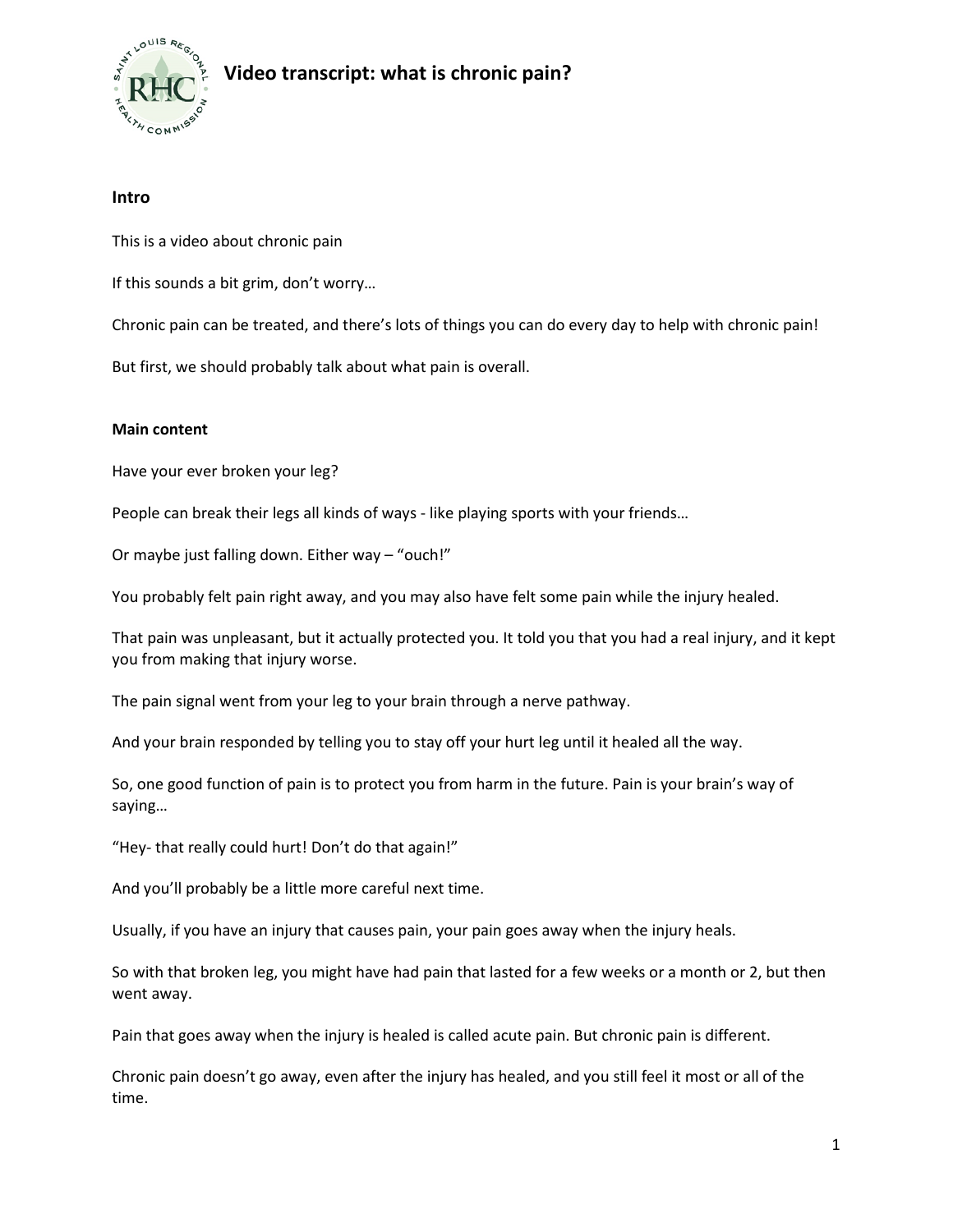

# **Video transcript: what is chronic pain?**

### **Intro**

This is a video about chronic pain

If this sounds a bit grim, don't worry…

Chronic pain can be treated, and there's lots of things you can do every day to help with chronic pain!

But first, we should probably talk about what pain is overall.

### **Main content**

Have your ever broken your leg?

People can break their legs all kinds of ways - like playing sports with your friends…

Or maybe just falling down. Either way – "ouch!"

You probably felt pain right away, and you may also have felt some pain while the injury healed.

That pain was unpleasant, but it actually protected you. It told you that you had a real injury, and it kept you from making that injury worse.

The pain signal went from your leg to your brain through a nerve pathway.

And your brain responded by telling you to stay off your hurt leg until it healed all the way.

So, one good function of pain is to protect you from harm in the future. Pain is your brain's way of saying…

"Hey- that really could hurt! Don't do that again!"

And you'll probably be a little more careful next time.

Usually, if you have an injury that causes pain, your pain goes away when the injury heals.

So with that broken leg, you might have had pain that lasted for a few weeks or a month or 2, but then went away.

Pain that goes away when the injury is healed is called acute pain. But chronic pain is different.

Chronic pain doesn't go away, even after the injury has healed, and you still feel it most or all of the time.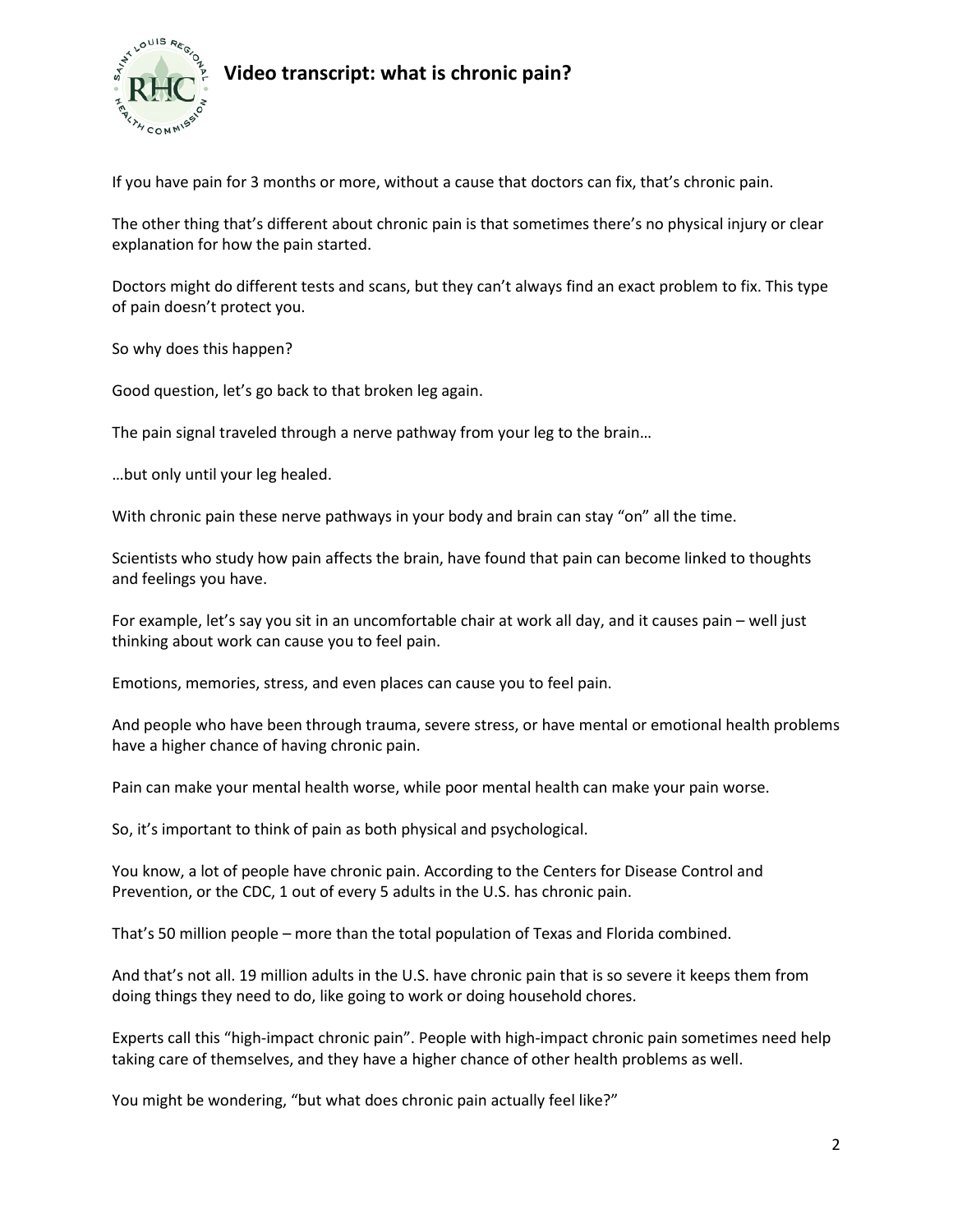

## **Video transcript: what is chronic pain?**

If you have pain for 3 months or more, without a cause that doctors can fix, that's chronic pain.

The other thing that's different about chronic pain is that sometimes there's no physical injury or clear explanation for how the pain started.

Doctors might do different tests and scans, but they can't always find an exact problem to fix. This type of pain doesn't protect you.

So why does this happen?

Good question, let's go back to that broken leg again.

The pain signal traveled through a nerve pathway from your leg to the brain…

…but only until your leg healed.

With chronic pain these nerve pathways in your body and brain can stay "on" all the time.

Scientists who study how pain affects the brain, have found that pain can become linked to thoughts and feelings you have.

For example, let's say you sit in an uncomfortable chair at work all day, and it causes pain – well just thinking about work can cause you to feel pain.

Emotions, memories, stress, and even places can cause you to feel pain.

And people who have been through trauma, severe stress, or have mental or emotional health problems have a higher chance of having chronic pain.

Pain can make your mental health worse, while poor mental health can make your pain worse.

So, it's important to think of pain as both physical and psychological.

You know, a lot of people have chronic pain. According to the Centers for Disease Control and Prevention, or the CDC, 1 out of every 5 adults in the U.S. has chronic pain.

That's 50 million people – more than the total population of Texas and Florida combined.

And that's not all. 19 million adults in the U.S. have chronic pain that is so severe it keeps them from doing things they need to do, like going to work or doing household chores.

Experts call this "high-impact chronic pain". People with high-impact chronic pain sometimes need help taking care of themselves, and they have a higher chance of other health problems as well.

You might be wondering, "but what does chronic pain actually feel like?"